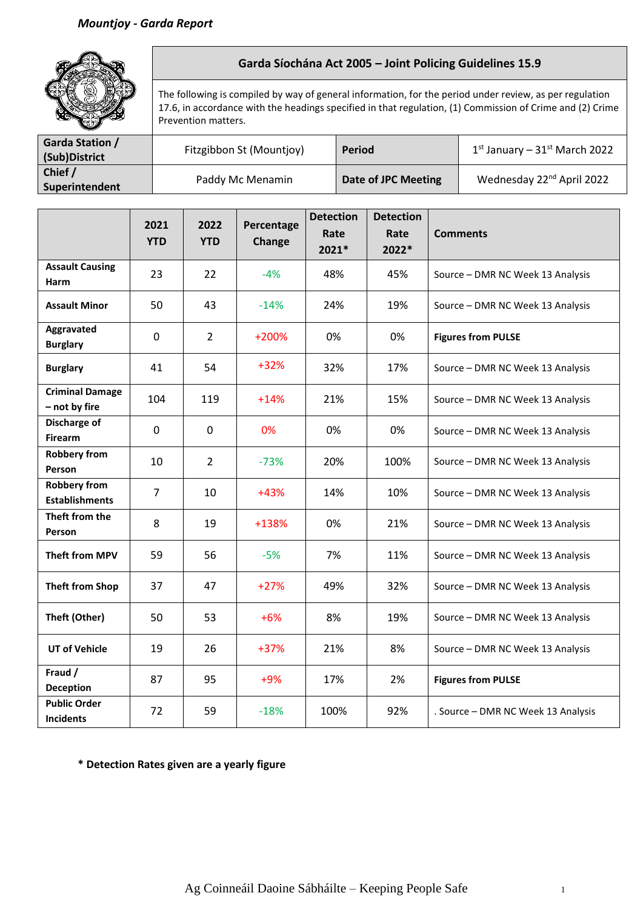

## **Garda Síochána Act 2005 – Joint Policing Guidelines 15.9**

The following is compiled by way of general information, for the period under review, as per regulation 17.6, in accordance with the headings specified in that regulation, (1) Commission of Crime and (2) Crime Prevention matters.

| <b>Garda Station /</b><br>(Sub)District | Fitzgibbon St (Mountjoy) | Period              | $1st$ January – 31st March 2022       |
|-----------------------------------------|--------------------------|---------------------|---------------------------------------|
| Chief /<br>Superintendent               | Paddy Mc Menamin         | Date of JPC Meeting | Wednesday 22 <sup>nd</sup> April 2022 |

|                                              | 2021<br><b>YTD</b> | 2022<br><b>YTD</b> | Percentage<br><b>Change</b> | <b>Detection</b><br>Rate<br>2021* | <b>Detection</b><br>Rate<br>2022* | <b>Comments</b>                    |
|----------------------------------------------|--------------------|--------------------|-----------------------------|-----------------------------------|-----------------------------------|------------------------------------|
| <b>Assault Causing</b><br>Harm               | 23                 | 22                 | $-4%$                       | 48%                               | 45%                               | Source - DMR NC Week 13 Analysis   |
| <b>Assault Minor</b>                         | 50                 | 43                 | $-14%$                      | 24%                               | 19%                               | Source - DMR NC Week 13 Analysis   |
| Aggravated<br><b>Burglary</b>                | $\pmb{0}$          | $\overline{2}$     | $+200%$                     | 0%                                | 0%                                | <b>Figures from PULSE</b>          |
| <b>Burglary</b>                              | 41                 | 54                 | $+32%$                      | 32%                               | 17%                               | Source - DMR NC Week 13 Analysis   |
| <b>Criminal Damage</b><br>- not by fire      | 104                | 119                | $+14%$                      | 21%                               | 15%                               | Source - DMR NC Week 13 Analysis   |
| Discharge of<br><b>Firearm</b>               | $\mathbf 0$        | $\mathbf 0$        | 0%                          | 0%                                | 0%                                | Source - DMR NC Week 13 Analysis   |
| <b>Robbery from</b><br>Person                | 10                 | $\overline{2}$     | $-73%$                      | 20%                               | 100%                              | Source - DMR NC Week 13 Analysis   |
| <b>Robbery from</b><br><b>Establishments</b> | $\overline{7}$     | 10                 | $+43%$                      | 14%                               | 10%                               | Source - DMR NC Week 13 Analysis   |
| Theft from the<br>Person                     | 8                  | 19                 | +138%                       | 0%                                | 21%                               | Source - DMR NC Week 13 Analysis   |
| <b>Theft from MPV</b>                        | 59                 | 56                 | $-5%$                       | 7%                                | 11%                               | Source - DMR NC Week 13 Analysis   |
| <b>Theft from Shop</b>                       | 37                 | 47                 | $+27%$                      | 49%                               | 32%                               | Source - DMR NC Week 13 Analysis   |
| Theft (Other)                                | 50                 | 53                 | $+6%$                       | 8%                                | 19%                               | Source - DMR NC Week 13 Analysis   |
| <b>UT of Vehicle</b>                         | 19                 | 26                 | $+37%$                      | 21%                               | 8%                                | Source - DMR NC Week 13 Analysis   |
| Fraud /<br><b>Deception</b>                  | 87                 | 95                 | $+9%$                       | 17%                               | 2%                                | <b>Figures from PULSE</b>          |
| <b>Public Order</b><br><b>Incidents</b>      | 72                 | 59                 | $-18%$                      | 100%                              | 92%                               | . Source - DMR NC Week 13 Analysis |

**\* Detection Rates given are a yearly figure**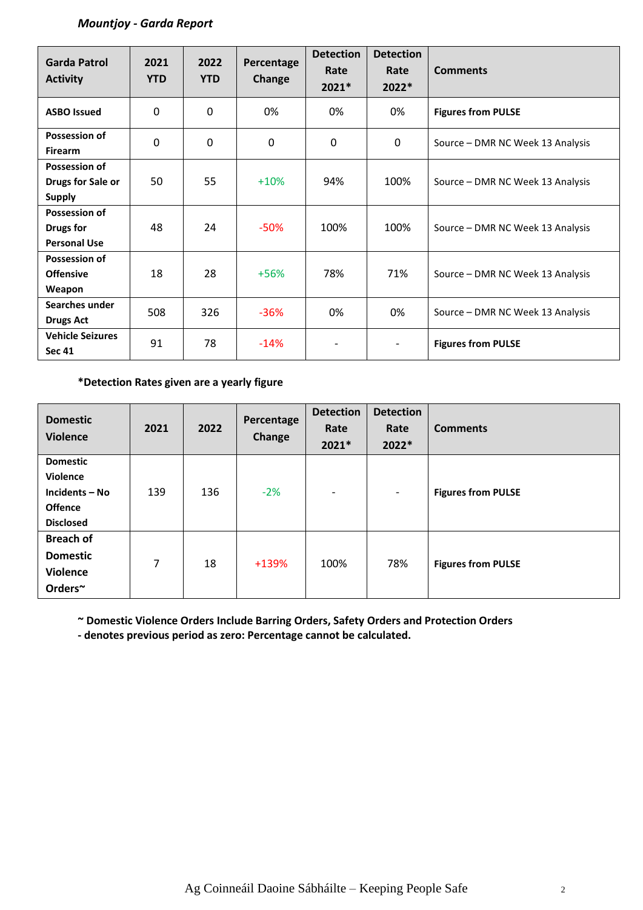## *Mountjoy - Garda Report*

| <b>Garda Patrol</b><br><b>Activity</b>                     | 2021<br><b>YTD</b> | 2022<br><b>YTD</b> | Percentage<br>Change | <b>Detection</b><br>Rate<br>$2021*$ | <b>Detection</b><br>Rate<br>$2022*$ | <b>Comments</b>                  |
|------------------------------------------------------------|--------------------|--------------------|----------------------|-------------------------------------|-------------------------------------|----------------------------------|
| <b>ASBO Issued</b>                                         | 0                  | 0                  | 0%                   | 0%                                  | 0%                                  | <b>Figures from PULSE</b>        |
| <b>Possession of</b><br><b>Firearm</b>                     | $\mathbf 0$        | 0                  | 0                    | $\mathbf{0}$                        | 0                                   | Source – DMR NC Week 13 Analysis |
| <b>Possession of</b><br>Drugs for Sale or<br><b>Supply</b> | 50                 | 55                 | $+10%$               | 94%                                 | 100%                                | Source – DMR NC Week 13 Analysis |
| Possession of<br>Drugs for<br><b>Personal Use</b>          | 48                 | 24                 | $-50%$               | 100%                                | 100%                                | Source – DMR NC Week 13 Analysis |
| Possession of<br><b>Offensive</b><br>Weapon                | 18                 | 28                 | $+56%$               | 78%                                 | 71%                                 | Source - DMR NC Week 13 Analysis |
| Searches under<br><b>Drugs Act</b>                         | 508                | 326                | $-36%$               | 0%                                  | 0%                                  | Source – DMR NC Week 13 Analysis |
| <b>Vehicle Seizures</b><br><b>Sec 41</b>                   | 91                 | 78                 | $-14%$               | $\overline{\phantom{0}}$            | $\qquad \qquad \blacksquare$        | <b>Figures from PULSE</b>        |

## **\*Detection Rates given are a yearly figure**

| <b>Domestic</b><br><b>Violence</b>                                                         | 2021 | 2022 | Percentage<br>Change | <b>Detection</b><br>Rate<br>2021* | <b>Detection</b><br>Rate<br>2022* | <b>Comments</b>           |
|--------------------------------------------------------------------------------------------|------|------|----------------------|-----------------------------------|-----------------------------------|---------------------------|
| <b>Domestic</b><br><b>Violence</b><br>Incidents - No<br><b>Offence</b><br><b>Disclosed</b> | 139  | 136  | $-2%$                | $\overline{\phantom{a}}$          | $\overline{\phantom{a}}$          | <b>Figures from PULSE</b> |
| <b>Breach of</b><br><b>Domestic</b><br><b>Violence</b><br>Orders~                          | 7    | 18   | +139%                | 100%                              | 78%                               | <b>Figures from PULSE</b> |

**~ Domestic Violence Orders Include Barring Orders, Safety Orders and Protection Orders**

**- denotes previous period as zero: Percentage cannot be calculated.**